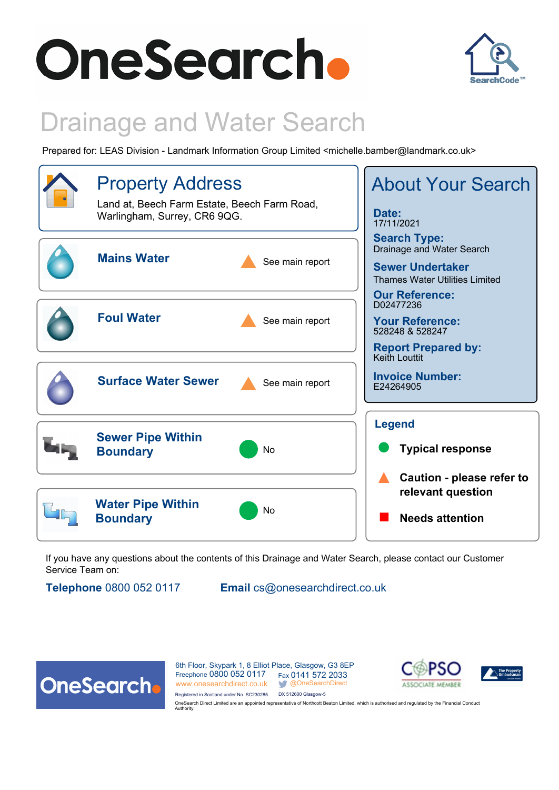# **OneSearch.**



# Drainage and Water Search

Prepared for: LEAS Division - Landmark Information Group Limited <michelle.bamber@landmark.co.uk>



If you have any questions about the contents of this Drainage and Water Search, please contact our Customer Service Team on:

**Telephone** 0800 052 0117 **Email** cs@onesearchdirect.co.uk



6th Floor, Skypark 1, 8 Elliot Place, Glasgow, G3 8EP Freephone 0800 052 0117 Fax 0141 572 2033 www.onesearchdirect.co.uk @OneSearchDirect Registered in Scotland under No. SC230285. DX 512600 Glasgow-5



OneSearch Direct Limited are an appointed representative of Northcott Beaton Limited, which is authorised and regulated by the Financial Conduct Authority.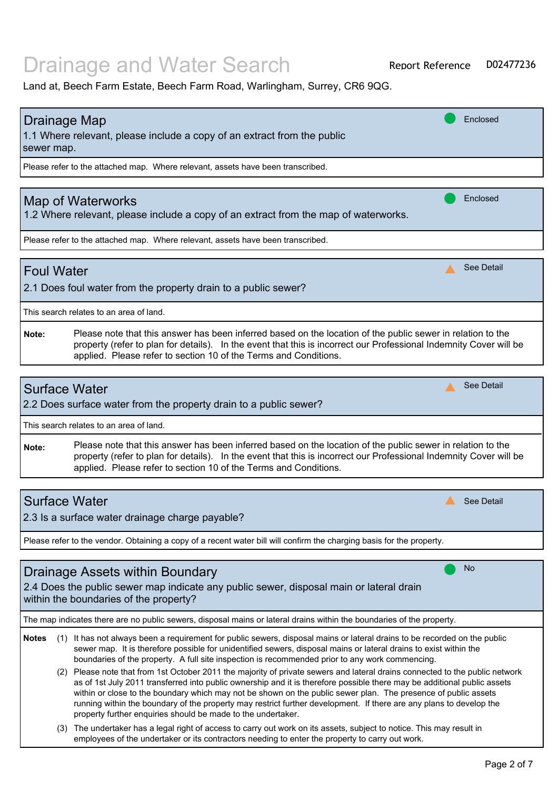Land at, Beech Farm Estate, Beech Farm Road, Warlingham, Surrey, CR6 9QG.

| <b>Drainage Map</b><br>1.1 Where relevant, please include a copy of an extract from the public<br>sewer map.                                                                                                                                                                                                   | Enclosed   |  |
|----------------------------------------------------------------------------------------------------------------------------------------------------------------------------------------------------------------------------------------------------------------------------------------------------------------|------------|--|
| Please refer to the attached map. Where relevant, assets have been transcribed.                                                                                                                                                                                                                                |            |  |
| <b>Map of Waterworks</b><br>1.2 Where relevant, please include a copy of an extract from the map of waterworks.                                                                                                                                                                                                | Enclosed   |  |
| Please refer to the attached map. Where relevant, assets have been transcribed.                                                                                                                                                                                                                                |            |  |
| <b>Foul Water</b><br>2.1 Does foul water from the property drain to a public sewer?                                                                                                                                                                                                                            | See Detail |  |
| This search relates to an area of land.                                                                                                                                                                                                                                                                        |            |  |
| Please note that this answer has been inferred based on the location of the public sewer in relation to the<br>Note:<br>property (refer to plan for details). In the event that this is incorrect our Professional Indemnity Cover will be<br>applied. Please refer to section 10 of the Terms and Conditions. |            |  |
|                                                                                                                                                                                                                                                                                                                |            |  |
| <b>Surface Water</b><br>2.2 Does surface water from the property drain to a public sewer?                                                                                                                                                                                                                      | See Detail |  |
| This search relates to an area of land.                                                                                                                                                                                                                                                                        |            |  |
| Please note that this answer has been inferred based on the location of the public sewer in relation to the<br>Note:<br>property (refer to plan for details). In the event that this is incorrect our Professional Indemnity Cover will be<br>applied. Please refer to section 10 of the Terms and Conditions. |            |  |
|                                                                                                                                                                                                                                                                                                                |            |  |
| <b>Surface Water</b><br>2.3 Is a surface water drainage charge payable?                                                                                                                                                                                                                                        | See Detail |  |
| Please refer to the vendor. Obtaining a copy of a recent water bill will confirm the charging basis for the property.                                                                                                                                                                                          |            |  |
| $D_{\text{reinava}}$ $\Lambda_{\text{eacho}}$ within $D_{\text{quadrup}}$                                                                                                                                                                                                                                      | No         |  |

#### 2.4 Does the public sewer map indicate any public sewer, disposal main or lateral drain within the boundaries of the property? Drainage Assets within Boundary

The map indicates there are no public sewers, disposal mains or lateral drains within the boundaries of the property.

- Notes (1) It has not always been a requirement for public sewers, disposal mains or lateral drains to be recorded on the public sewer map. It is therefore possible for unidentified sewers, disposal mains or lateral drains to exist within the boundaries of the property. A full site inspection is recommended prior to any work commencing.
	- (2) Please note that from 1st October 2011 the majority of private sewers and lateral drains connected to the public network as of 1st July 2011 transferred into public ownership and it is therefore possible there may be additional public assets within or close to the boundary which may not be shown on the public sewer plan. The presence of public assets running within the boundary of the property may restrict further development. If there are any plans to develop the property further enquiries should be made to the undertaker.
	- (3) The undertaker has a legal right of access to carry out work on its assets, subject to notice. This may result in employees of the undertaker or its contractors needing to enter the property to carry out work.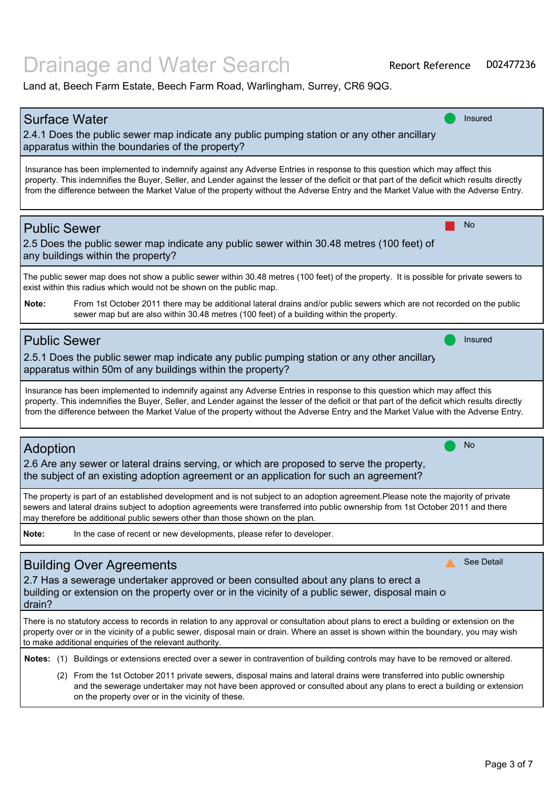| <b>Surface Water</b><br><b>Insured</b>                                                                                                        |
|-----------------------------------------------------------------------------------------------------------------------------------------------|
| 2.4.1 Does the public sewer map indicate any public pumping station or any other ancillary                                                    |
| apparatus within the boundaries of the property?                                                                                              |
|                                                                                                                                               |
| Insurance has been implemented to indemnify against any Adverse Entries in response to this question which may affect this                    |
| property. This indemnifies the Buyer, Seller, and Lender against the lesser of the deficit or that part of the deficit which results directly |
| from the difference between the Market Value of the property without the Adverse Entry and the Market Value with the Adverse Entry.           |
|                                                                                                                                               |
| No                                                                                                                                            |
| <b>Public Sewer</b>                                                                                                                           |
| 2.5 Does the public sewer map indicate any public sewer within 30.48 metres (100 feet) of                                                     |
| any buildings within the property?                                                                                                            |
| The public sewer map does not show a public sewer within 30.48 metres (100 feet) of the property. It is possible for private sewers to        |
| exist within this radius which would not be shown on the public map.                                                                          |
| Note:<br>From 1st October 2011 there may be additional lateral drains and/or public sewers which are not recorded on the public               |
| sewer map but are also within 30.48 metres (100 feet) of a building within the property.                                                      |
|                                                                                                                                               |
| <b>Public Sewer</b><br>Insured                                                                                                                |
|                                                                                                                                               |
| 2.5.1 Does the public sewer map indicate any public pumping station or any other ancillary                                                    |
| apparatus within 50m of any buildings within the property?                                                                                    |
| Insurance has been implemented to indemnify against any Adverse Entries in response to this question which may affect this                    |
| property. This indemnifies the Buyer, Seller, and Lender against the lesser of the deficit or that part of the deficit which results directly |
| from the difference between the Market Value of the property without the Adverse Entry and the Market Value with the Adverse Entry.           |
|                                                                                                                                               |
| No                                                                                                                                            |
| <b>Adoption</b>                                                                                                                               |
| 2.6 Are any sewer or lateral drains serving, or which are proposed to serve the property,                                                     |
| the subject of an existing adoption agreement or an application for such an agreement?                                                        |
| The property is part of an established development and is not subject to an adoption agreement.Please note the majority of private            |
| sewers and lateral drains subject to adoption agreements were transferred into public ownership from 1st October 2011 and there               |
| may therefore be additional public sewers other than those shown on the plan.                                                                 |
| Note:<br>In the case of recent or new developments, please refer to developer.                                                                |
|                                                                                                                                               |
| See Detail                                                                                                                                    |
| <b>Building Over Agreements</b>                                                                                                               |
| 2.7 Has a sewerage undertaker approved or been consulted about any plans to erect a                                                           |
| building or extension on the property over or in the vicinity of a public sewer, disposal main o                                              |
| drain?                                                                                                                                        |
| There is no statutory access to records in relation to any approval or consultation about plans to erect a building or extension on the       |
| property over or in the vicinity of a public sewer, disposal main or drain. Where an asset is shown within the boundary, you may wish         |
| to make additional enquiries of the relevant authority.                                                                                       |
| Notes: (1) Buildings or extensions erected over a sewer in contravention of building controls may have to be removed or altered.              |
| (2) From the 1st October 2011 private sewers, disposal mains and lateral drains were transferred into public ownership                        |
| and the sewerage undertaker may not have been approved or consulted about any plans to erect a building or extension                          |
| on the property over or in the vicinity of these.                                                                                             |
|                                                                                                                                               |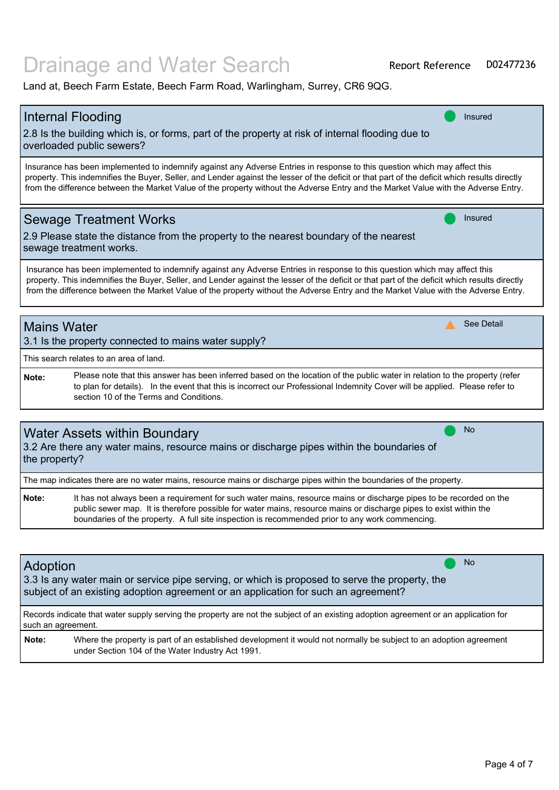|                    | <b>Internal Flooding</b><br>Insured                                                                                                                                                                                                                                                                                                                                                                                |
|--------------------|--------------------------------------------------------------------------------------------------------------------------------------------------------------------------------------------------------------------------------------------------------------------------------------------------------------------------------------------------------------------------------------------------------------------|
|                    | 2.8 Is the building which is, or forms, part of the property at risk of internal flooding due to                                                                                                                                                                                                                                                                                                                   |
|                    | overloaded public sewers?                                                                                                                                                                                                                                                                                                                                                                                          |
|                    | Insurance has been implemented to indemnify against any Adverse Entries in response to this question which may affect this<br>property. This indemnifies the Buyer, Seller, and Lender against the lesser of the deficit or that part of the deficit which results directly<br>from the difference between the Market Value of the property without the Adverse Entry and the Market Value with the Adverse Entry. |
|                    | <b>Sewage Treatment Works</b><br><b>Insured</b>                                                                                                                                                                                                                                                                                                                                                                    |
|                    | 2.9 Please state the distance from the property to the nearest boundary of the nearest                                                                                                                                                                                                                                                                                                                             |
|                    | sewage treatment works.                                                                                                                                                                                                                                                                                                                                                                                            |
|                    | Insurance has been implemented to indemnify against any Adverse Entries in response to this question which may affect this<br>property. This indemnifies the Buyer, Seller, and Lender against the lesser of the deficit or that part of the deficit which results directly<br>from the difference between the Market Value of the property without the Adverse Entry and the Market Value with the Adverse Entry. |
| <b>Mains Water</b> | See Detail                                                                                                                                                                                                                                                                                                                                                                                                         |
|                    | 3.1 Is the property connected to mains water supply?                                                                                                                                                                                                                                                                                                                                                               |
|                    | This search relates to an area of land.                                                                                                                                                                                                                                                                                                                                                                            |
| Note:              | Please note that this answer has been inferred based on the location of the public water in relation to the property (refer<br>to plan for details). In the event that this is incorrect our Professional Indemnity Cover will be applied. Please refer to<br>section 10 of the Terms and Conditions.                                                                                                              |
|                    |                                                                                                                                                                                                                                                                                                                                                                                                                    |
|                    | <b>No</b><br>Water Assets within Boundary                                                                                                                                                                                                                                                                                                                                                                          |
|                    | 3.2 Are there any water mains, resource mains or discharge pipes within the boundaries of                                                                                                                                                                                                                                                                                                                          |
| the property?      |                                                                                                                                                                                                                                                                                                                                                                                                                    |
|                    | The map indicates there are no water mains, resource mains or discharge pipes within the boundaries of the property.                                                                                                                                                                                                                                                                                               |
| Note:              | It has not always been a requirement for such water mains, resource mains or discharge pipes to be recorded on the<br>public sewer map. It is therefore possible for water mains, resource mains or discharge pipes to exist within the<br>boundaries of the property. A full site inspection is recommended prior to any work commencing.                                                                         |
|                    |                                                                                                                                                                                                                                                                                                                                                                                                                    |
| <b>Adoption</b>    | <b>No</b>                                                                                                                                                                                                                                                                                                                                                                                                          |
|                    | 3.3 Is any water main or service pipe serving, or which is proposed to serve the property, the                                                                                                                                                                                                                                                                                                                     |
|                    | subject of an existing adoption agreement or an application for such an agreement?                                                                                                                                                                                                                                                                                                                                 |
| such an agreement. | Records indicate that water supply serving the property are not the subject of an existing adoption agreement or an application for                                                                                                                                                                                                                                                                                |
| Note:              | Where the property is part of an established development it would not normally be subject to an adoption agreement<br>under Section 104 of the Water Industry Act 1991.                                                                                                                                                                                                                                            |
|                    |                                                                                                                                                                                                                                                                                                                                                                                                                    |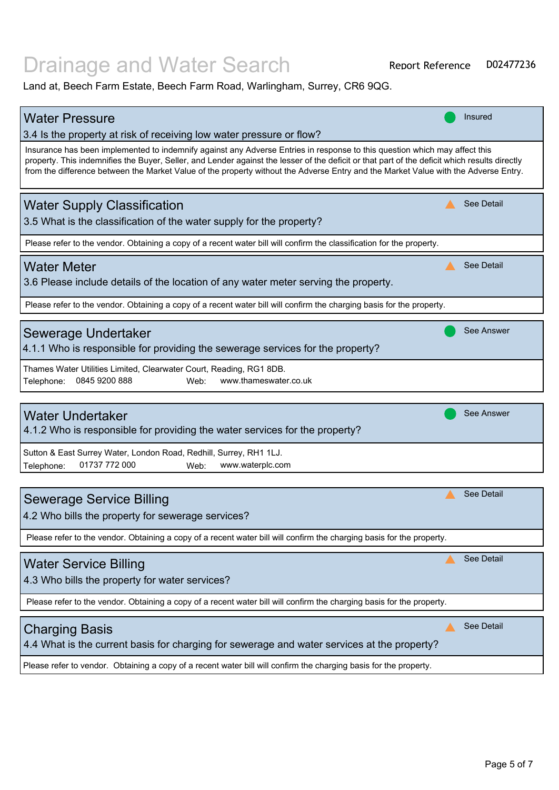# Drainage and Water Search

| <b>Water Pressure</b>                                                                                                                                                                                                                                                                                                                                                                                              | <b>Insured</b>    |
|--------------------------------------------------------------------------------------------------------------------------------------------------------------------------------------------------------------------------------------------------------------------------------------------------------------------------------------------------------------------------------------------------------------------|-------------------|
| 3.4 Is the property at risk of receiving low water pressure or flow?                                                                                                                                                                                                                                                                                                                                               |                   |
| Insurance has been implemented to indemnify against any Adverse Entries in response to this question which may affect this<br>property. This indemnifies the Buyer, Seller, and Lender against the lesser of the deficit or that part of the deficit which results directly<br>from the difference between the Market Value of the property without the Adverse Entry and the Market Value with the Adverse Entry. |                   |
| <b>Water Supply Classification</b>                                                                                                                                                                                                                                                                                                                                                                                 | See Detail        |
| 3.5 What is the classification of the water supply for the property?                                                                                                                                                                                                                                                                                                                                               |                   |
| Please refer to the vendor. Obtaining a copy of a recent water bill will confirm the classification for the property.                                                                                                                                                                                                                                                                                              |                   |
| <b>Water Meter</b>                                                                                                                                                                                                                                                                                                                                                                                                 | See Detail        |
| 3.6 Please include details of the location of any water meter serving the property.                                                                                                                                                                                                                                                                                                                                |                   |
| Please refer to the vendor. Obtaining a copy of a recent water bill will confirm the charging basis for the property.                                                                                                                                                                                                                                                                                              |                   |
|                                                                                                                                                                                                                                                                                                                                                                                                                    |                   |
| Sewerage Undertaker                                                                                                                                                                                                                                                                                                                                                                                                | See Answer        |
| 4.1.1 Who is responsible for providing the sewerage services for the property?                                                                                                                                                                                                                                                                                                                                     |                   |
| Thames Water Utilities Limited, Clearwater Court, Reading, RG1 8DB.                                                                                                                                                                                                                                                                                                                                                |                   |
| 0845 9200 888<br>www.thameswater.co.uk<br>Telephone:<br>Web:                                                                                                                                                                                                                                                                                                                                                       |                   |
|                                                                                                                                                                                                                                                                                                                                                                                                                    |                   |
| <b>Water Undertaker</b>                                                                                                                                                                                                                                                                                                                                                                                            | <b>See Answer</b> |
| 4.1.2 Who is responsible for providing the water services for the property?                                                                                                                                                                                                                                                                                                                                        |                   |
| Sutton & East Surrey Water, London Road, Redhill, Surrey, RH1 1LJ.                                                                                                                                                                                                                                                                                                                                                 |                   |
| 01737 772 000<br>www.waterplc.com<br>Telephone:<br>Web:                                                                                                                                                                                                                                                                                                                                                            |                   |
|                                                                                                                                                                                                                                                                                                                                                                                                                    |                   |
| <b>Sewerage Service Billing</b>                                                                                                                                                                                                                                                                                                                                                                                    | <b>See Detail</b> |
| 4.2 Who bills the property for sewerage services?                                                                                                                                                                                                                                                                                                                                                                  |                   |
|                                                                                                                                                                                                                                                                                                                                                                                                                    |                   |
| Please refer to the vendor. Obtaining a copy of a recent water bill will confirm the charging basis for the property.                                                                                                                                                                                                                                                                                              |                   |
| <b>Water Service Billing</b>                                                                                                                                                                                                                                                                                                                                                                                       | See Detail        |
| 4.3 Who bills the property for water services?                                                                                                                                                                                                                                                                                                                                                                     |                   |
|                                                                                                                                                                                                                                                                                                                                                                                                                    |                   |
| Please refer to the vendor. Obtaining a copy of a recent water bill will confirm the charging basis for the property.                                                                                                                                                                                                                                                                                              |                   |
| <b>Charging Basis</b>                                                                                                                                                                                                                                                                                                                                                                                              | See Detail        |
| 4.4 What is the current basis for charging for sewerage and water services at the property?                                                                                                                                                                                                                                                                                                                        |                   |
|                                                                                                                                                                                                                                                                                                                                                                                                                    |                   |
| Please refer to vendor. Obtaining a copy of a recent water bill will confirm the charging basis for the property.                                                                                                                                                                                                                                                                                                  |                   |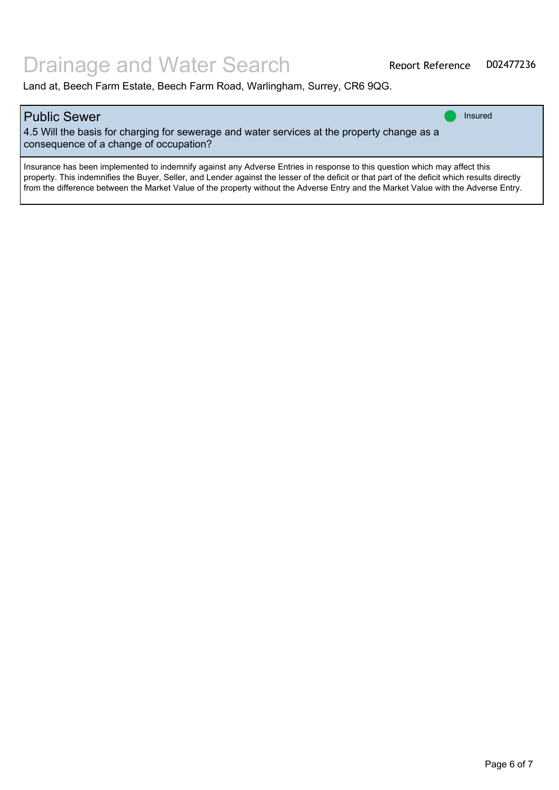| Public Sewer<br>4.5 Will the basis for charging for sewerage and water services at the property change as a<br>consequence of a change of occupation?                                                                                                                                                                                                                                                                | <b>Insured</b> |
|----------------------------------------------------------------------------------------------------------------------------------------------------------------------------------------------------------------------------------------------------------------------------------------------------------------------------------------------------------------------------------------------------------------------|----------------|
| Insurance has been implemented to indemnify against any Adverse Entries in response to this question which may affect this<br>property. This indemnifies the Buyer, Seller, and Lender against the lesser of the deficit or that part of the deficit which results directly<br>  from the difference between the Market Value of the property without the Adverse Entry and the Market Value with the Adverse Entry. |                |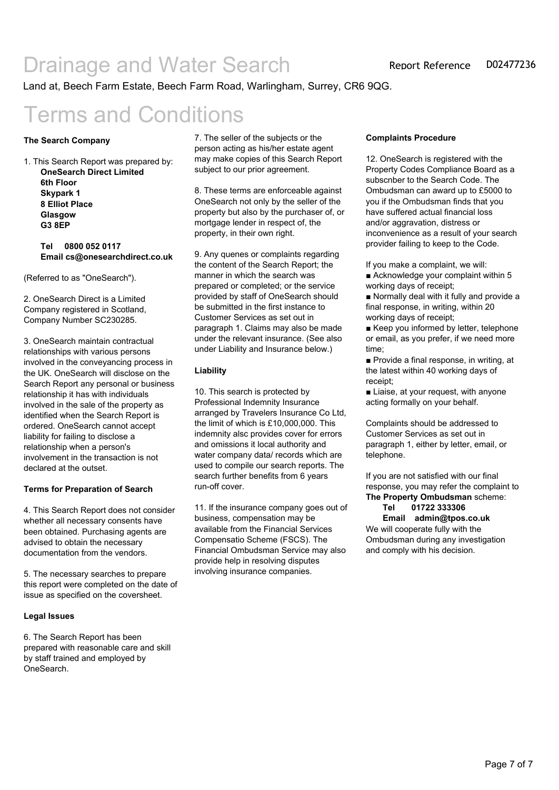Land at, Beech Farm Estate, Beech Farm Road, Warlingham, Surrey, CR6 9QG.

# Terms and Conditions

#### **The Search Company**

1. This Search Report was prepared by: **OneSearch Direct Limited 6th Floor Skypark 1 8 Elliot Place Glasgow G3 8EP**

> **Tel 0800 052 0117 Email cs@onesearchdirect.co.uk**

(Referred to as "OneSearch").

2. OneSearch Direct is a Limited Company registered in Scotland, Company Number SC230285.

3. OneSearch maintain contractual relationships with various persons involved in the conveyancing process in the UK. OneSearch will disclose on the Search Report any personal or business relationship it has with individuals involved in the sale of the property as identified when the Search Report is ordered. OneSearch cannot accept liability for failing to disclose a relationship when a person's involvement in the transaction is not declared at the outset.

#### **Terms for Preparation of Search**

4. This Search Report does not consider whether all necessary consents have been obtained. Purchasing agents are advised to obtain the necessary documentation from the vendors.

5. The necessary searches to prepare this report were completed on the date of issue as specified on the coversheet.

#### **Legal Issues**

6. The Search Report has been prepared with reasonable care and skill by staff trained and employed by OneSearch.

7. The seller of the subjects or the person acting as his/her estate agent may make copies of this Search Report subject to our prior agreement.

8. These terms are enforceable against OneSearch not only by the seller of the property but also by the purchaser of, or mortgage lender in respect of, the property, in their own right.

9. Any quenes or complaints regarding the content of the Search Report; the manner in which the search was prepared or completed; or the service provided by staff of OneSearch should be submitted in the first instance to Customer Services as set out in paragraph 1. Claims may also be made under the relevant insurance. (See also under Liability and Insurance below.)

#### **Liability**

10. This search is protected by Professional Indemnity Insurance arranged by Travelers Insurance Co Ltd, the limit of which is £10,000,000. This indemnity alsc provides cover for errors and omissions it local authority and water company data/ records which are used to compile our search reports. The search further benefits from 6 years run-off cover.

11. If the insurance company goes out of business, compensation may be available from the Financial Services Compensatio Scheme (FSCS). The Financial Ombudsman Service may also provide help in resolving disputes involving insurance companies.

#### **Complaints Procedure**

12. OneSearch is registered with the Property Codes Compliance Board as a subscnber to the Search Code. The Ombudsman can award up to £5000 to you if the Ombudsman finds that you have suffered actual financial loss and/or aggravation, distress or inconvenience as a result of your search provider failing to keep to the Code.

If you make a complaint, we will:

■ Acknowledge your complaint within 5 working days of receipt;

■ Normally deal with it fully and provide a final response, in writing, within 20 working days of receipt;

■ Keep you informed by letter, telephone or email, as you prefer, if we need more time;

■ Provide a final response, in writing, at the latest within 40 working days of receipt;

■ Liaise, at your request, with anyone acting formally on your behalf.

Complaints should be addressed to Customer Services as set out in paragraph 1, either by letter, email, or telephone.

If you are not satisfied with our final response, you may refer the complaint to **The Property Ombudsman** scheme:

#### **Tel 01722 333306**

**Email admin@tpos.co.uk** We will cooperate fully with the Ombudsman during any investigation and comply with his decision.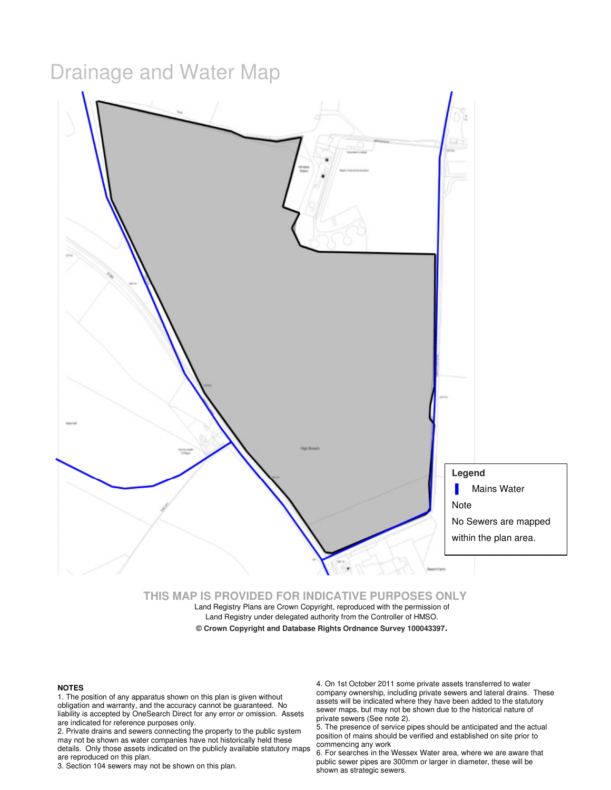# Drainage and Water Map



**THIS MAP IS PROVIDED FOR INDICATIVE PURPOSES ONLY** 

Land Registry Plans are Crown Copyright, reproduced with the permission of Land Registry under delegated authority from the Controller of HMSO.

#### **© Crown Copyright and Database Rights Ordnance Survey 100043397.**

#### **NOTES**

1. The position of any apparatus shown on this plan is given without obligation and warranty, and the accuracy cannot be guaranteed. No liability is accepted by OneSearch Direct for any error or omission. Assets are indicated for reference purposes only.

2. Private drains and sewers connecting the property to the public system may not be shown as water companies have not historically held these details. Only those assets indicated on the publicly available statutory maps are reproduced on this plan.

3. Section 104 sewers may not be shown on this plan.

4. On 1st October 2011 some private assets transferred to water company ownership, including private sewers and lateral drains. These assets will be indicated where they have been added to the statutory sewer maps, but may not be shown due to the historical nature of private sewers (See note 2).

5. The presence of service pipes should be anticipated and the actual position of mains should be verified and established on site prior to commencing any work

6. For searches in the Wessex Water area, where we are aware that public sewer pipes are 300mm or larger in diameter, these will be shown as strategic sewers.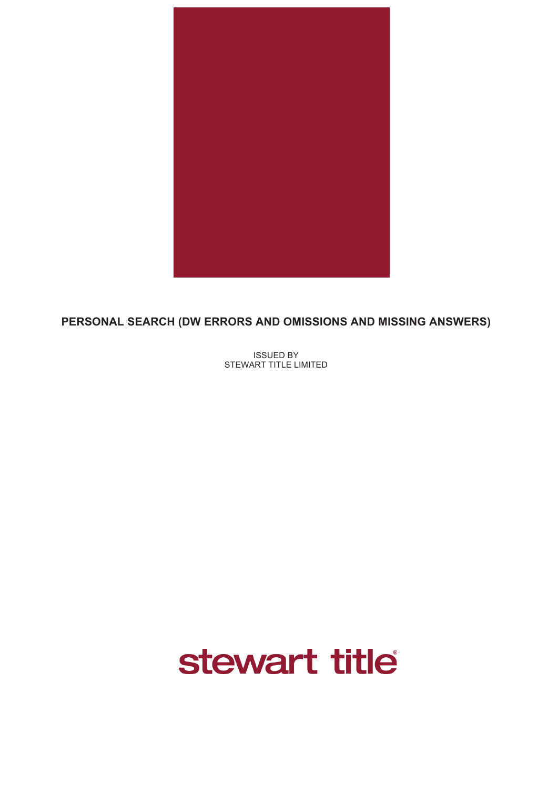

# **PERSONAL SEARCH (DW ERRORS AND OMISSIONS AND MISSING ANSWERS)**

ISSUED BY STEWART TITLE LIMITED

# stewart title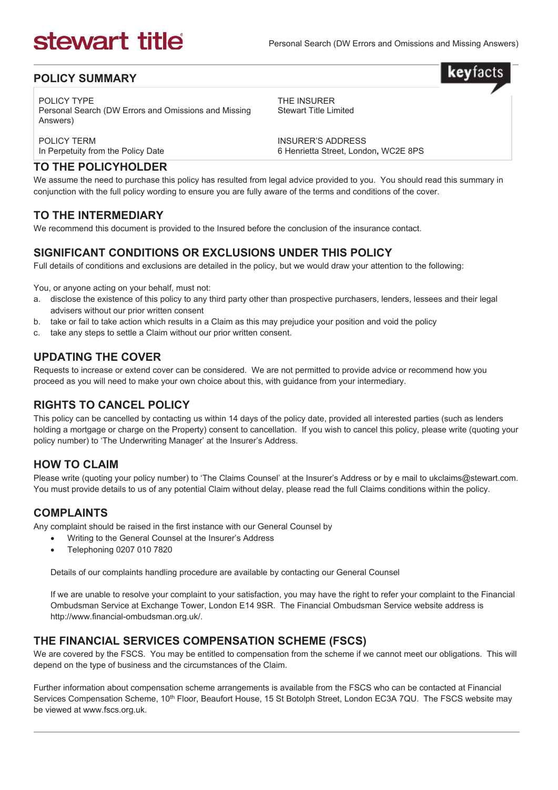**kev**facts

#### **POLICY SUMMARY**

POLICY TYPE Personal Search (DW Errors and Omissions and Missing Answers)

THE INSURER Stewart Title Limited

POLICY TERM In Perpetuity from the Policy Date INSURER'S ADDRESS 6 Henrietta Street, London**,** WC2E 8PS

### **TO THE POLICYHOLDER**

We assume the need to purchase this policy has resulted from legal advice provided to you. You should read this summary in conjunction with the full policy wording to ensure you are fully aware of the terms and conditions of the cover.

### **TO THE INTERMEDIARY**

We recommend this document is provided to the Insured before the conclusion of the insurance contact.

### **SIGNIFICANT CONDITIONS OR EXCLUSIONS UNDER THIS POLICY**

Full details of conditions and exclusions are detailed in the policy, but we would draw your attention to the following:

You, or anyone acting on your behalf, must not:

- a. disclose the existence of this policy to any third party other than prospective purchasers, lenders, lessees and their legal advisers without our prior written consent
- b. take or fail to take action which results in a Claim as this may prejudice your position and void the policy
- c. take any steps to settle a Claim without our prior written consent.

### **UPDATING THE COVER**

Requests to increase or extend cover can be considered. We are not permitted to provide advice or recommend how you proceed as you will need to make your own choice about this, with guidance from your intermediary.

### **RIGHTS TO CANCEL POLICY**

This policy can be cancelled by contacting us within 14 days of the policy date, provided all interested parties (such as lenders holding a mortgage or charge on the Property) consent to cancellation. If you wish to cancel this policy, please write (quoting your policy number) to 'The Underwriting Manager' at the Insurer's Address.

### **HOW TO CLAIM**

Please write (quoting your policy number) to 'The Claims Counsel' at the Insurer's Address or by e mail to ukclaims@stewart.com. You must provide details to us of any potential Claim without delay, please read the full Claims conditions within the policy.

#### **COMPLAINTS**

Any complaint should be raised in the first instance with our General Counsel by

- Writing to the General Counsel at the Insurer's Address
- Telephoning 0207 010 7820

Details of our complaints handling procedure are available by contacting our General Counsel

If we are unable to resolve your complaint to your satisfaction, you may have the right to refer your complaint to the Financial Ombudsman Service at Exchange Tower, London E14 9SR. The Financial Ombudsman Service website address is http://www.financial-ombudsman.org.uk/.

#### **THE FINANCIAL SERVICES COMPENSATION SCHEME (FSCS)**

We are covered by the FSCS. You may be entitled to compensation from the scheme if we cannot meet our obligations. This will depend on the type of business and the circumstances of the Claim.

Further information about compensation scheme arrangements is available from the FSCS who can be contacted at Financial Services Compensation Scheme, 10<sup>th</sup> Floor, Beaufort House, 15 St Botolph Street, London EC3A 7QU. The FSCS website may be viewed at www.fscs.org.uk.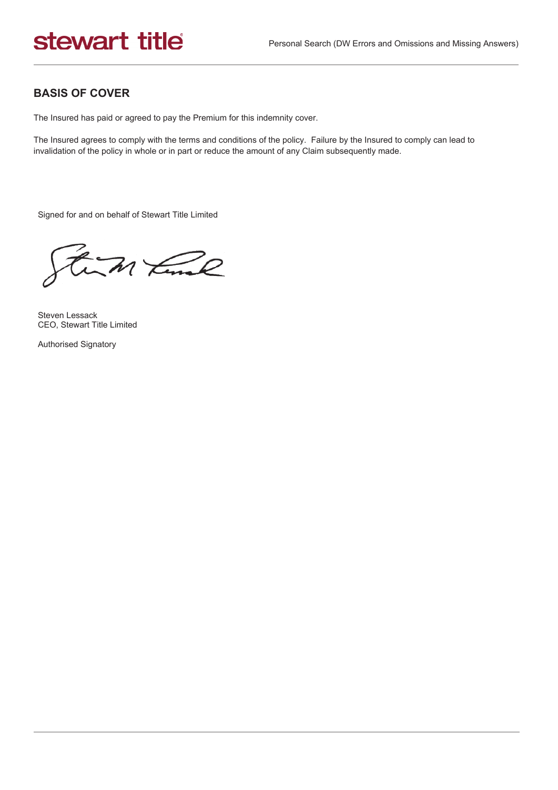## **BASIS OF COVER**

The Insured has paid or agreed to pay the Premium for this indemnity cover.

The Insured agrees to comply with the terms and conditions of the policy. Failure by the Insured to comply can lead to invalidation of the policy in whole or in part or reduce the amount of any Claim subsequently made.

Signed for and on behalf of Stewart Title Limited

an time

Steven Lessack CEO, Stewart Title Limited

Authorised Signatory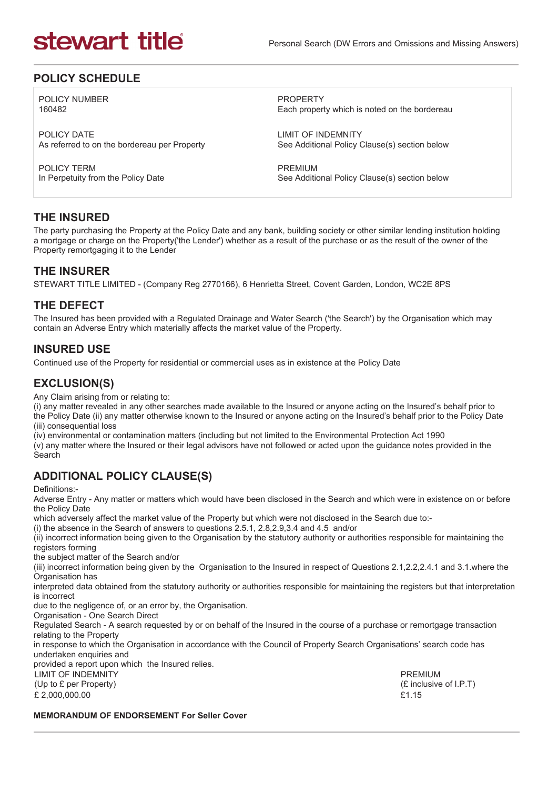### **POLICY SCHEDULE**

POLICY NUMBER 160482

POLICY DATE As referred to on the bordereau per Property

POLICY TERM In Perpetuity from the Policy Date

PROPERTY Each property which is noted on the bordereau

LIMIT OF INDEMNITY See Additional Policy Clause(s) section below

PREMIUM See Additional Policy Clause(s) section below

#### **THE INSURED**

The party purchasing the Property at the Policy Date and any bank, building society or other similar lending institution holding a mortgage or charge on the Property('the Lender') whether as a result of the purchase or as the result of the owner of the Property remortgaging it to the Lender

### **THE INSURER**

STEWART TITLE LIMITED - (Company Reg 2770166), 6 Henrietta Street, Covent Garden, London, WC2E 8PS

### **THE DEFECT**

The Insured has been provided with a Regulated Drainage and Water Search ('the Search') by the Organisation which may contain an Adverse Entry which materially affects the market value of the Property.

### **INSURED USE**

Continued use of the Property for residential or commercial uses as in existence at the Policy Date

### **EXCLUSION(S)**

Any Claim arising from or relating to:

(i) any matter revealed in any other searches made available to the Insured or anyone acting on the Insured's behalf prior to the Policy Date (ii) any matter otherwise known to the Insured or anyone acting on the Insured's behalf prior to the Policy Date (iii) consequential loss

(iv) environmental or contamination matters (including but not limited to the Environmental Protection Act 1990 (v) any matter where the Insured or their legal advisors have not followed or acted upon the guidance notes provided in the **Search** 

# **ADDITIONAL POLICY CLAUSE(S)**

Definitions:-

Adverse Entry - Any matter or matters which would have been disclosed in the Search and which were in existence on or before the Policy Date

which adversely affect the market value of the Property but which were not disclosed in the Search due to:-

(i) the absence in the Search of answers to questions 2.5.1, 2.8,2.9,3.4 and 4.5 and/or

(ii) incorrect information being given to the Organisation by the statutory authority or authorities responsible for maintaining the registers forming

the subject matter of the Search and/or

(iii) incorrect information being given by the Organisation to the Insured in respect of Questions 2.1,2.2,2.4.1 and 3.1.where the Organisation has

interpreted data obtained from the statutory authority or authorities responsible for maintaining the registers but that interpretation is incorrect

due to the negligence of, or an error by, the Organisation.

Organisation - One Search Direct

Regulated Search - A search requested by or on behalf of the Insured in the course of a purchase or remortgage transaction relating to the Property

in response to which the Organisation in accordance with the Council of Property Search Organisations' search code has undertaken enquiries and

provided a report upon which the Insured relies.

LIMIT OF INDEMNITY (Up to £ per Property)

 $£ 2.000.000.00$   $£1.15$ 

PREMIUM (£ inclusive of I.P.T)

#### **MEMORANDUM OF ENDORSEMENT For Seller Cover**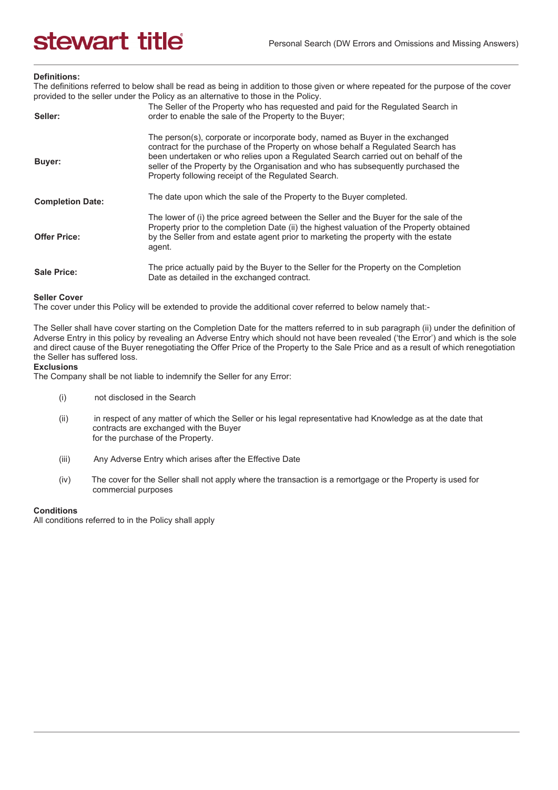#### **Definitions:**

The definitions referred to below shall be read as being in addition to those given or where repeated for the purpose of the cover provided to the seller under the Policy as an alternative to those in the Policy.

| Seller:                 | The Seller of the Property who has requested and paid for the Regulated Search in<br>order to enable the sale of the Property to the Buyer;                                                                                                                                                                                                                                                         |
|-------------------------|-----------------------------------------------------------------------------------------------------------------------------------------------------------------------------------------------------------------------------------------------------------------------------------------------------------------------------------------------------------------------------------------------------|
| Buyer:                  | The person(s), corporate or incorporate body, named as Buyer in the exchanged<br>contract for the purchase of the Property on whose behalf a Regulated Search has<br>been undertaken or who relies upon a Regulated Search carried out on behalf of the<br>seller of the Property by the Organisation and who has subsequently purchased the<br>Property following receipt of the Regulated Search. |
| <b>Completion Date:</b> | The date upon which the sale of the Property to the Buyer completed.                                                                                                                                                                                                                                                                                                                                |
| <b>Offer Price:</b>     | The lower of (i) the price agreed between the Seller and the Buyer for the sale of the<br>Property prior to the completion Date (ii) the highest valuation of the Property obtained<br>by the Seller from and estate agent prior to marketing the property with the estate<br>agent.                                                                                                                |
| <b>Sale Price:</b>      | The price actually paid by the Buyer to the Seller for the Property on the Completion<br>Date as detailed in the exchanged contract.                                                                                                                                                                                                                                                                |

#### **Seller Cover**

The cover under this Policy will be extended to provide the additional cover referred to below namely that:-

The Seller shall have cover starting on the Completion Date for the matters referred to in sub paragraph (ii) under the definition of Adverse Entry in this policy by revealing an Adverse Entry which should not have been revealed ('the Error') and which is the sole and direct cause of the Buyer renegotiating the Offer Price of the Property to the Sale Price and as a result of which renegotiation the Seller has suffered loss.

#### **Exclusions**

The Company shall be not liable to indemnify the Seller for any Error:

- (i) not disclosed in the Search
- (ii) in respect of any matter of which the Seller or his legal representative had Knowledge as at the date that contracts are exchanged with the Buyer for the purchase of the Property.
- (iii) Any Adverse Entry which arises after the Effective Date
- (iv) The cover for the Seller shall not apply where the transaction is a remortgage or the Property is used for commercial purposes

#### **Conditions**

All conditions referred to in the Policy shall apply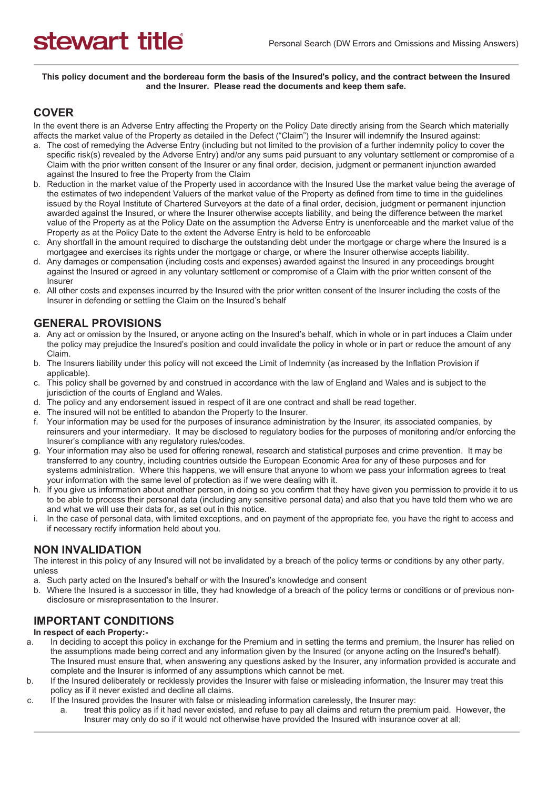**This policy document and the bordereau form the basis of the Insured's policy, and the contract between the Insured and the Insurer. Please read the documents and keep them safe.** 

### **COVER**

In the event there is an Adverse Entry affecting the Property on the Policy Date directly arising from the Search which materially affects the market value of the Property as detailed in the Defect ("Claim") the Insurer will indemnify the Insured against:

- a. The cost of remedying the Adverse Entry (including but not limited to the provision of a further indemnity policy to cover the specific risk(s) revealed by the Adverse Entry) and/or any sums paid pursuant to any voluntary settlement or compromise of a Claim with the prior written consent of the Insurer or any final order, decision, judgment or permanent injunction awarded against the Insured to free the Property from the Claim
- b. Reduction in the market value of the Property used in accordance with the Insured Use the market value being the average of the estimates of two independent Valuers of the market value of the Property as defined from time to time in the guidelines issued by the Royal Institute of Chartered Surveyors at the date of a final order, decision, judgment or permanent injunction awarded against the Insured, or where the Insurer otherwise accepts liability, and being the difference between the market value of the Property as at the Policy Date on the assumption the Adverse Entry is unenforceable and the market value of the Property as at the Policy Date to the extent the Adverse Entry is held to be enforceable
- c. Any shortfall in the amount required to discharge the outstanding debt under the mortgage or charge where the Insured is a mortgagee and exercises its rights under the mortgage or charge, or where the Insurer otherwise accepts liability.
- d. Any damages or compensation (including costs and expenses) awarded against the Insured in any proceedings brought against the Insured or agreed in any voluntary settlement or compromise of a Claim with the prior written consent of the Insurer
- e. All other costs and expenses incurred by the Insured with the prior written consent of the Insurer including the costs of the Insurer in defending or settling the Claim on the Insured's behalf

### **GENERAL PROVISIONS**

- a. Any act or omission by the Insured, or anyone acting on the Insured's behalf, which in whole or in part induces a Claim under the policy may prejudice the Insured's position and could invalidate the policy in whole or in part or reduce the amount of any Claim.
- b. The Insurers liability under this policy will not exceed the Limit of Indemnity (as increased by the Inflation Provision if applicable).
- c. This policy shall be governed by and construed in accordance with the law of England and Wales and is subject to the jurisdiction of the courts of England and Wales.
- d. The policy and any endorsement issued in respect of it are one contract and shall be read together.
- e. The insured will not be entitled to abandon the Property to the Insurer.
- f. Your information may be used for the purposes of insurance administration by the Insurer, its associated companies, by reinsurers and your intermediary. It may be disclosed to regulatory bodies for the purposes of monitoring and/or enforcing the Insurer's compliance with any regulatory rules/codes.
- g. Your information may also be used for offering renewal, research and statistical purposes and crime prevention. It may be transferred to any country, including countries outside the European Economic Area for any of these purposes and for systems administration. Where this happens, we will ensure that anyone to whom we pass your information agrees to treat your information with the same level of protection as if we were dealing with it.
- h. If you give us information about another person, in doing so you confirm that they have given you permission to provide it to us to be able to process their personal data (including any sensitive personal data) and also that you have told them who we are and what we will use their data for, as set out in this notice.
- i. In the case of personal data, with limited exceptions, and on payment of the appropriate fee, you have the right to access and if necessary rectify information held about you.

#### **NON INVALIDATION**

The interest in this policy of any Insured will not be invalidated by a breach of the policy terms or conditions by any other party, unless

- a. Such party acted on the Insured's behalf or with the Insured's knowledge and consent
- b. Where the Insured is a successor in title, they had knowledge of a breach of the policy terms or conditions or of previous nondisclosure or misrepresentation to the Insurer.

### **IMPORTANT CONDITIONS**

#### **In respect of each Property:-**

- a. In deciding to accept this policy in exchange for the Premium and in setting the terms and premium, the Insurer has relied on the assumptions made being correct and any information given by the Insured (or anyone acting on the Insured's behalf). The Insured must ensure that, when answering any questions asked by the Insurer, any information provided is accurate and complete and the Insurer is informed of any assumptions which cannot be met.
- b. If the Insured deliberately or recklessly provides the Insurer with false or misleading information, the Insurer may treat this policy as if it never existed and decline all claims.
- c. If the Insured provides the Insurer with false or misleading information carelessly, the Insurer may:
	- a. treat this policy as if it had never existed, and refuse to pay all claims and return the premium paid. However, the Insurer may only do so if it would not otherwise have provided the Insured with insurance cover at all;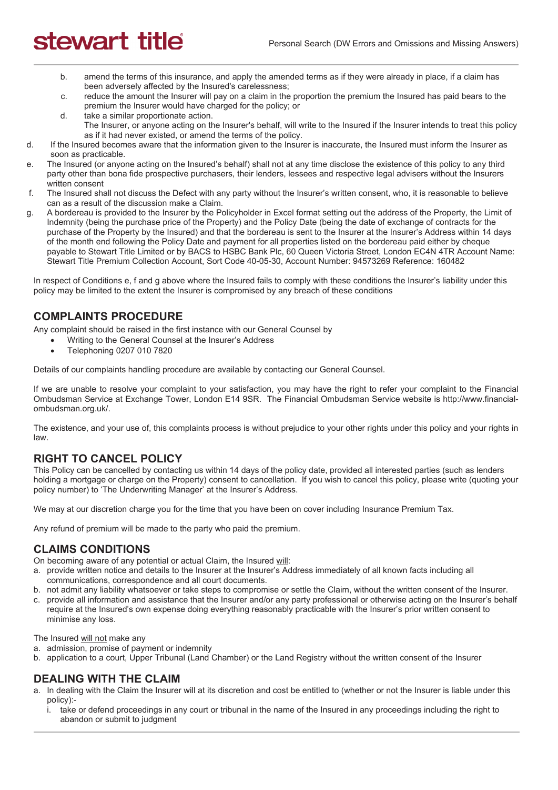- b. amend the terms of this insurance, and apply the amended terms as if they were already in place, if a claim has been adversely affected by the Insured's carelessness;
- c. reduce the amount the Insurer will pay on a claim in the proportion the premium the Insured has paid bears to the premium the Insurer would have charged for the policy; or
- d. take a similar proportionate action. The Insurer, or anyone acting on the Insurer's behalf, will write to the Insured if the Insurer intends to treat this policy as if it had never existed, or amend the terms of the policy.
- d. If the Insured becomes aware that the information given to the Insurer is inaccurate, the Insured must inform the Insurer as soon as practicable.
- e. The Insured (or anyone acting on the Insured's behalf) shall not at any time disclose the existence of this policy to any third party other than bona fide prospective purchasers, their lenders, lessees and respective legal advisers without the Insurers written consent
- f. The Insured shall not discuss the Defect with any party without the Insurer's written consent, who, it is reasonable to believe can as a result of the discussion make a Claim.
- g. A bordereau is provided to the Insurer by the Policyholder in Excel format setting out the address of the Property, the Limit of Indemnity (being the purchase price of the Property) and the Policy Date (being the date of exchange of contracts for the purchase of the Property by the Insured) and that the bordereau is sent to the Insurer at the Insurer's Address within 14 days of the month end following the Policy Date and payment for all properties listed on the bordereau paid either by cheque payable to Stewart Title Limited or by BACS to HSBC Bank Plc, 60 Queen Victoria Street, London EC4N 4TR Account Name: Stewart Title Premium Collection Account, Sort Code 40-05-30, Account Number: 94573269 Reference: 160482

In respect of Conditions e, f and g above where the Insured fails to comply with these conditions the Insurer's liability under this policy may be limited to the extent the Insurer is compromised by any breach of these conditions

### **COMPLAINTS PROCEDURE**

Any complaint should be raised in the first instance with our General Counsel by

- Writing to the General Counsel at the Insurer's Address
- Telephoning 0207 010 7820

Details of our complaints handling procedure are available by contacting our General Counsel.

If we are unable to resolve your complaint to your satisfaction, you may have the right to refer your complaint to the Financial Ombudsman Service at Exchange Tower, London E14 9SR. The Financial Ombudsman Service website is http://www.financialombudsman.org.uk/.

The existence, and your use of, this complaints process is without prejudice to your other rights under this policy and your rights in law.

### **RIGHT TO CANCEL POLICY**

This Policy can be cancelled by contacting us within 14 days of the policy date, provided all interested parties (such as lenders holding a mortgage or charge on the Property) consent to cancellation. If you wish to cancel this policy, please write (quoting your policy number) to 'The Underwriting Manager' at the Insurer's Address.

We may at our discretion charge you for the time that you have been on cover including Insurance Premium Tax.

Any refund of premium will be made to the party who paid the premium.

#### **CLAIMS CONDITIONS**

On becoming aware of any potential or actual Claim, the Insured will:

- a. provide written notice and details to the Insurer at the Insurer's Address immediately of all known facts including all communications, correspondence and all court documents.
- b. not admit any liability whatsoever or take steps to compromise or settle the Claim, without the written consent of the Insurer.
- c. provide all information and assistance that the Insurer and/or any party professional or otherwise acting on the Insurer's behalf require at the Insured's own expense doing everything reasonably practicable with the Insurer's prior written consent to minimise any loss.

The Insured will not make any

- a. admission, promise of payment or indemnity
- b. application to a court, Upper Tribunal (Land Chamber) or the Land Registry without the written consent of the Insurer

#### **DEALING WITH THE CLAIM**

- a. In dealing with the Claim the Insurer will at its discretion and cost be entitled to (whether or not the Insurer is liable under this policy):
	- i. take or defend proceedings in any court or tribunal in the name of the Insured in any proceedings including the right to abandon or submit to judgment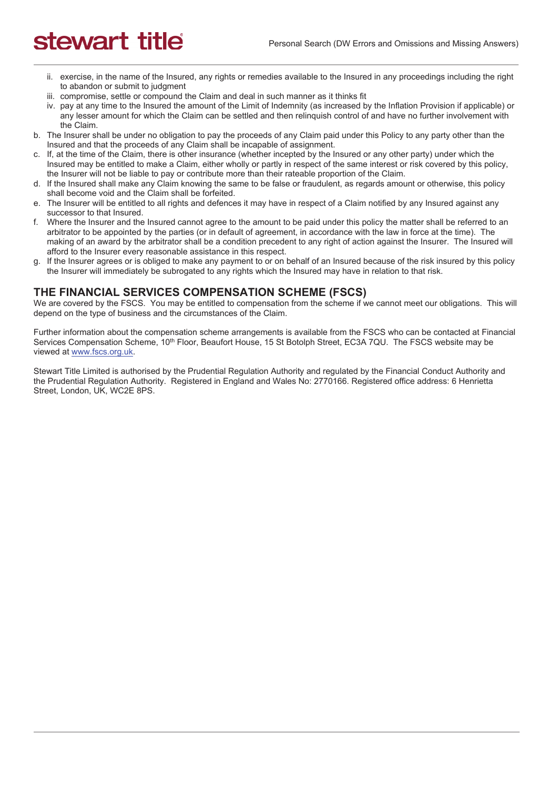- ii. exercise, in the name of the Insured, any rights or remedies available to the Insured in any proceedings including the right to abandon or submit to judgment
- iii. compromise, settle or compound the Claim and deal in such manner as it thinks fit
- iv. pay at any time to the Insured the amount of the Limit of Indemnity (as increased by the Inflation Provision if applicable) or any lesser amount for which the Claim can be settled and then relinquish control of and have no further involvement with the Claim.
- b. The Insurer shall be under no obligation to pay the proceeds of any Claim paid under this Policy to any party other than the Insured and that the proceeds of any Claim shall be incapable of assignment.
- c. If, at the time of the Claim, there is other insurance (whether incepted by the Insured or any other party) under which the Insured may be entitled to make a Claim, either wholly or partly in respect of the same interest or risk covered by this policy, the Insurer will not be liable to pay or contribute more than their rateable proportion of the Claim.
- d. If the Insured shall make any Claim knowing the same to be false or fraudulent, as regards amount or otherwise, this policy shall become void and the Claim shall be forfeited.
- e. The Insurer will be entitled to all rights and defences it may have in respect of a Claim notified by any Insured against any successor to that Insured.
- f. Where the Insurer and the Insured cannot agree to the amount to be paid under this policy the matter shall be referred to an arbitrator to be appointed by the parties (or in default of agreement, in accordance with the law in force at the time). The making of an award by the arbitrator shall be a condition precedent to any right of action against the Insurer. The Insured will afford to the Insurer every reasonable assistance in this respect.
- g. If the Insurer agrees or is obliged to make any payment to or on behalf of an Insured because of the risk insured by this policy the Insurer will immediately be subrogated to any rights which the Insured may have in relation to that risk.

### **THE FINANCIAL SERVICES COMPENSATION SCHEME (FSCS)**

We are covered by the FSCS. You may be entitled to compensation from the scheme if we cannot meet our obligations. This will depend on the type of business and the circumstances of the Claim.

Further information about the compensation scheme arrangements is available from the FSCS who can be contacted at Financial Services Compensation Scheme, 10<sup>th</sup> Floor, Beaufort House, 15 St Botolph Street, EC3A 7QU. The FSCS website may be viewed at www.fscs.org.uk.

Stewart Title Limited is authorised by the Prudential Regulation Authority and regulated by the Financial Conduct Authority and the Prudential Regulation Authority. Registered in England and Wales No: 2770166. Registered office address: 6 Henrietta Street, London, UK, WC2E 8PS.